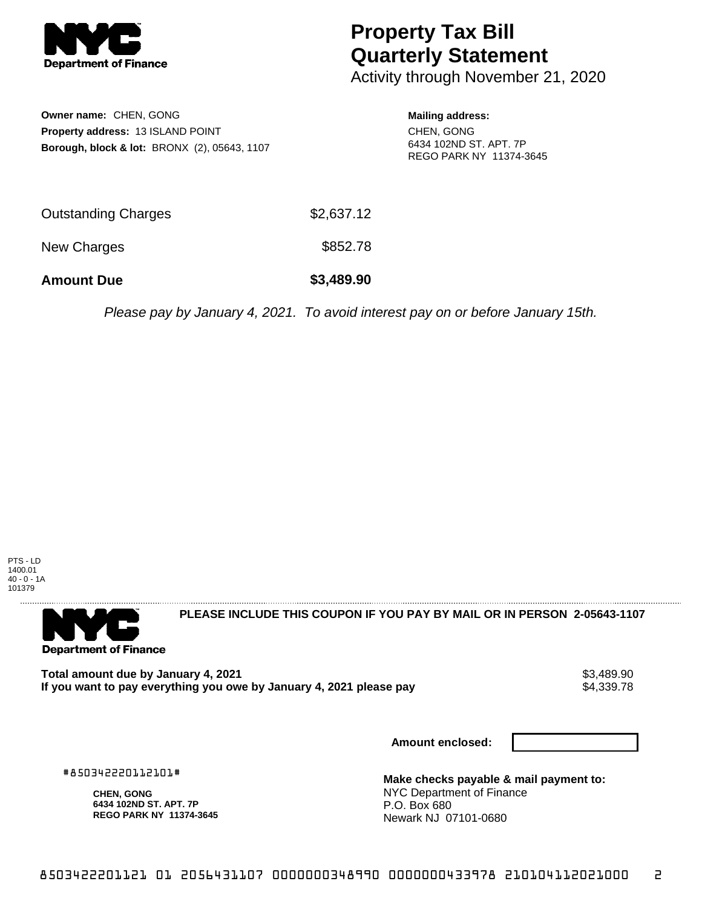

## **Property Tax Bill Quarterly Statement**

Activity through November 21, 2020

**Owner name:** CHEN, GONG **Property address:** 13 ISLAND POINT **Borough, block & lot:** BRONX (2), 05643, 1107 **Mailing address:** CHEN, GONG 6434 102ND ST. APT. 7P REGO PARK NY 11374-3645

| <b>Amount Due</b>          | \$3,489.90 |
|----------------------------|------------|
| New Charges                | \$852.78   |
| <b>Outstanding Charges</b> | \$2,637.12 |

Please pay by January 4, 2021. To avoid interest pay on or before January 15th.

PTS - LD 1400.01 40 - 0 - 1A 101379



**PLEASE INCLUDE THIS COUPON IF YOU PAY BY MAIL OR IN PERSON 2-05643-1107** 

Total amount due by January 4, 2021<br>If you want to pay everything you owe by January 4, 2021 please pay **ship in the same of the set of the s**4,339.78 If you want to pay everything you owe by January 4, 2021 please pay

**Amount enclosed:**

#850342220112101#

**CHEN, GONG 6434 102ND ST. APT. 7P REGO PARK NY 11374-3645**

**Make checks payable & mail payment to:** NYC Department of Finance P.O. Box 680 Newark NJ 07101-0680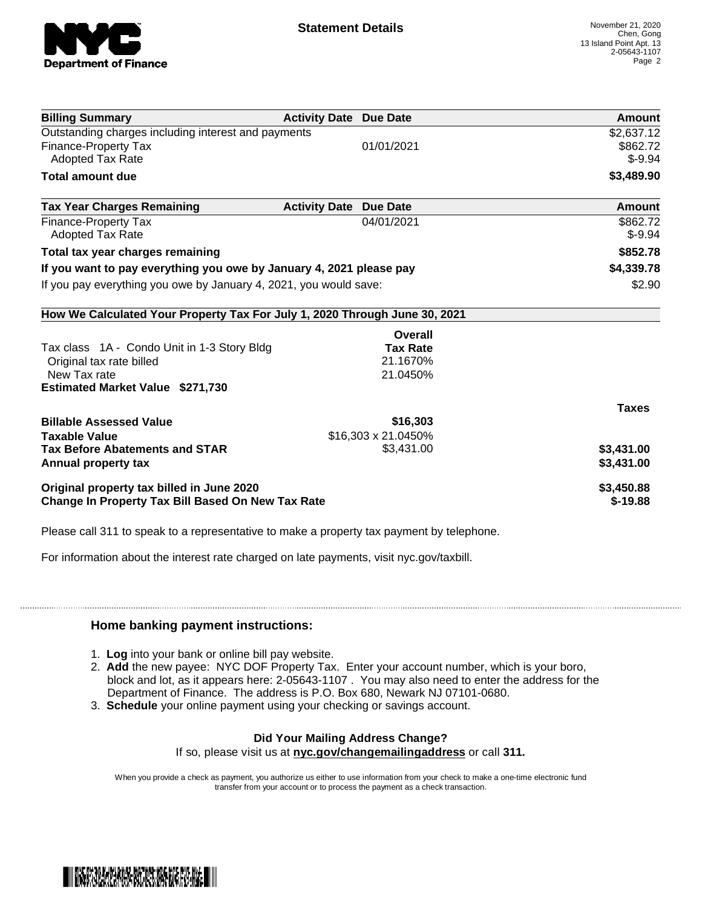

| <b>Billing Summary</b>                                                     | <b>Activity Date Due Date</b>           | Amount       |
|----------------------------------------------------------------------------|-----------------------------------------|--------------|
| Outstanding charges including interest and payments                        |                                         | \$2,637.12   |
| <b>Finance-Property Tax</b>                                                | 01/01/2021                              | \$862.72     |
| <b>Adopted Tax Rate</b>                                                    |                                         | $$ -9.94$    |
| <b>Total amount due</b>                                                    |                                         | \$3,489.90   |
| <b>Tax Year Charges Remaining</b>                                          | <b>Activity Date</b><br><b>Due Date</b> | Amount       |
| <b>Finance-Property Tax</b>                                                | 04/01/2021                              | \$862.72     |
| <b>Adopted Tax Rate</b>                                                    |                                         | $$-9.94$     |
| Total tax year charges remaining                                           |                                         | \$852.78     |
| If you want to pay everything you owe by January 4, 2021 please pay        |                                         | \$4,339.78   |
| If you pay everything you owe by January 4, 2021, you would save:          |                                         | \$2.90       |
| How We Calculated Your Property Tax For July 1, 2020 Through June 30, 2021 |                                         |              |
|                                                                            | Overall                                 |              |
| Tax class 1A - Condo Unit in 1-3 Story Bldg                                | <b>Tax Rate</b>                         |              |
| Original tax rate billed                                                   | 21.1670%                                |              |
| New Tax rate                                                               | 21.0450%                                |              |
| <b>Estimated Market Value \$271,730</b>                                    |                                         |              |
|                                                                            |                                         | <b>Taxes</b> |
| <b>Billable Assessed Value</b>                                             | \$16,303                                |              |
| <b>Taxable Value</b>                                                       | \$16,303 x 21.0450%                     |              |
| <b>Tax Before Abatements and STAR</b>                                      | \$3,431.00                              | \$3,431.00   |
| Annual property tax                                                        |                                         | \$3,431.00   |
| Original property tax billed in June 2020                                  |                                         | \$3,450.88   |
| <b>Change In Property Tax Bill Based On New Tax Rate</b>                   |                                         | $$-19.88$    |

Please call 311 to speak to a representative to make a property tax payment by telephone.

For information about the interest rate charged on late payments, visit nyc.gov/taxbill.

## **Home banking payment instructions:**

- 1. **Log** into your bank or online bill pay website.
- 2. **Add** the new payee: NYC DOF Property Tax. Enter your account number, which is your boro, block and lot, as it appears here: 2-05643-1107 . You may also need to enter the address for the Department of Finance. The address is P.O. Box 680, Newark NJ 07101-0680.
- 3. **Schedule** your online payment using your checking or savings account.

## **Did Your Mailing Address Change?**

If so, please visit us at **nyc.gov/changemailingaddress** or call **311.**

When you provide a check as payment, you authorize us either to use information from your check to make a one-time electronic fund transfer from your account or to process the payment as a check transaction.